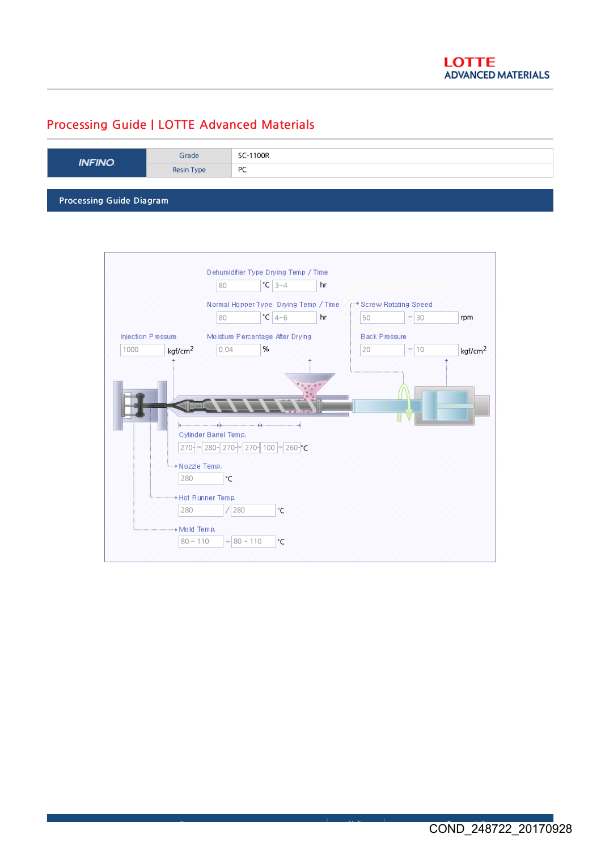## Processing Guide | LOTTE Advanced Materials

| <b>INFINO</b>                   | Grade      | SC-1100R |
|---------------------------------|------------|----------|
|                                 | Resin Type | PC       |
|                                 |            |          |
| <b>Processing Guide Diagram</b> |            |          |

Dehumidifier Type Drying Temp / Time 80 3~4 °C hr Normal Hopper Type Drying Temp / Time Screw Rotating Speed  $50$   $\sim$  30 80  $|{}^{\circ}C|4_{}^{\sim}6$  hr  $|{}^{\circ}50$   $|{}^{\sim}$  30 rpm Injection Pressure Moisture Percentage After Drying Black Pressure 1000 0.04 %  $\boxed{20}$   $\sim \boxed{10}$ **kgf/cm<sup>2</sup>** 0.04 **%** 10  $\sqrt{10}$  kgf/cm<sup>2</sup> Cylinder Barrel Temp. 270~ ~ 280~ 270~ 270~ 100 ~ 260~ °C \* Nozzle Temp. 280 °C \* Hot Runner Temp. 280 /280 °C \* Mold Temp.  $80 \sim 110$   $\sim 80 \sim 110$   $\degree$ C